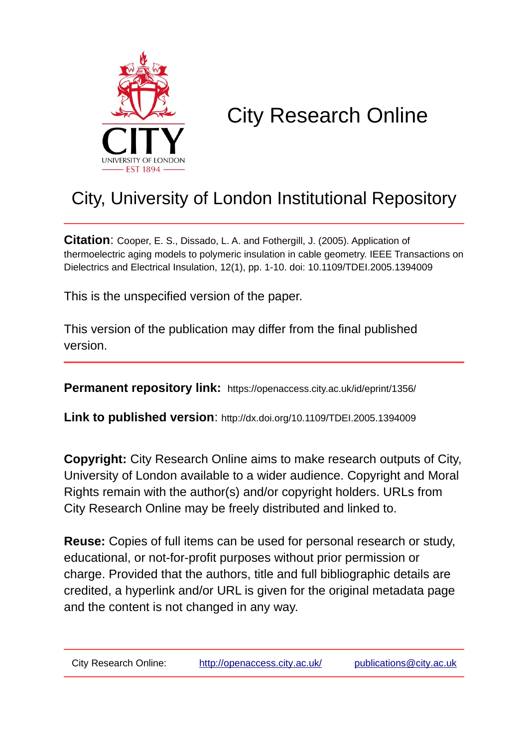

# City Research Online

# City, University of London Institutional Repository

**Citation**: Cooper, E. S., Dissado, L. A. and Fothergill, J. (2005). Application of thermoelectric aging models to polymeric insulation in cable geometry. IEEE Transactions on Dielectrics and Electrical Insulation, 12(1), pp. 1-10. doi: 10.1109/TDEI.2005.1394009

This is the unspecified version of the paper.

This version of the publication may differ from the final published version.

**Permanent repository link:** https://openaccess.city.ac.uk/id/eprint/1356/

**Link to published version**: http://dx.doi.org/10.1109/TDEI.2005.1394009

**Copyright:** City Research Online aims to make research outputs of City, University of London available to a wider audience. Copyright and Moral Rights remain with the author(s) and/or copyright holders. URLs from City Research Online may be freely distributed and linked to.

**Reuse:** Copies of full items can be used for personal research or study, educational, or not-for-profit purposes without prior permission or charge. Provided that the authors, title and full bibliographic details are credited, a hyperlink and/or URL is given for the original metadata page and the content is not changed in any way.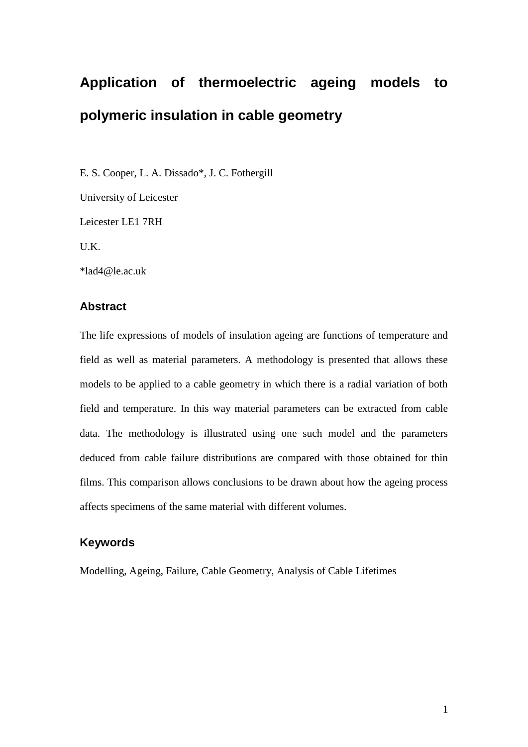# **Application of thermoelectric ageing models to polymeric insulation in cable geometry**

E. S. Cooper, L. A. Dissado\*, J. C. Fothergill

University of Leicester Leicester LE1 7RH U.K. \*lad4@le.ac.uk

## **Abstract**

The life expressions of models of insulation ageing are functions of temperature and field as well as material parameters. A methodology is presented that allows these models to be applied to a cable geometry in which there is a radial variation of both field and temperature. In this way material parameters can be extracted from cable data. The methodology is illustrated using one such model and the parameters deduced from cable failure distributions are compared with those obtained for thin films. This comparison allows conclusions to be drawn about how the ageing process affects specimens of the same material with different volumes.

## **Keywords**

Modelling, Ageing, Failure, Cable Geometry, Analysis of Cable Lifetimes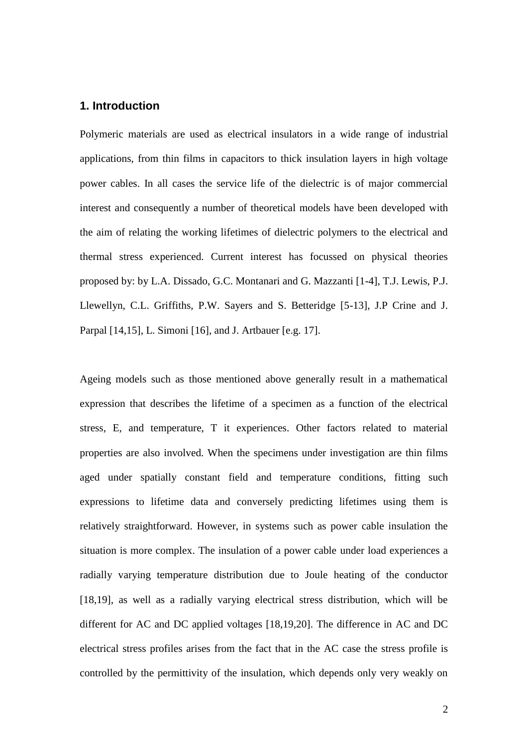## **1. Introduction**

Polymeric materials are used as electrical insulators in a wide range of industrial applications, from thin films in capacitors to thick insulation layers in high voltage power cables. In all cases the service life of the dielectric is of major commercial interest and consequently a number of theoretical models have been developed with the aim of relating the working lifetimes of dielectric polymers to the electrical and thermal stress experienced. Current interest has focussed on physical theories proposed by: by L.A. Dissado, G.C. Montanari and G. Mazzanti [1-4], T.J. Lewis, P.J. Llewellyn, C.L. Griffiths, P.W. Sayers and S. Betteridge [5-13], J.P Crine and J. Parpal [14,15], L. Simoni [16], and J. Artbauer [e.g. 17].

Ageing models such as those mentioned above generally result in a mathematical expression that describes the lifetime of a specimen as a function of the electrical stress, E, and temperature, T it experiences. Other factors related to material properties are also involved. When the specimens under investigation are thin films aged under spatially constant field and temperature conditions, fitting such expressions to lifetime data and conversely predicting lifetimes using them is relatively straightforward. However, in systems such as power cable insulation the situation is more complex. The insulation of a power cable under load experiences a radially varying temperature distribution due to Joule heating of the conductor [18,19], as well as a radially varying electrical stress distribution, which will be different for AC and DC applied voltages [18,19,20]. The difference in AC and DC electrical stress profiles arises from the fact that in the AC case the stress profile is controlled by the permittivity of the insulation, which depends only very weakly on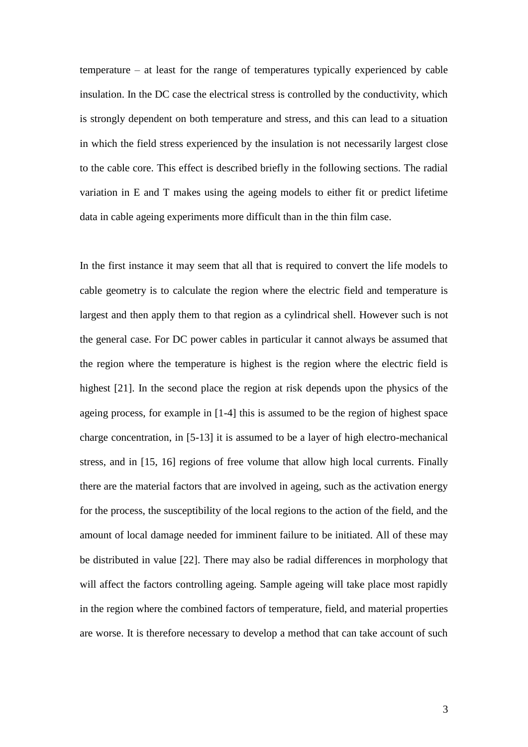temperature – at least for the range of temperatures typically experienced by cable insulation. In the DC case the electrical stress is controlled by the conductivity, which is strongly dependent on both temperature and stress, and this can lead to a situation in which the field stress experienced by the insulation is not necessarily largest close to the cable core. This effect is described briefly in the following sections. The radial variation in E and T makes using the ageing models to either fit or predict lifetime data in cable ageing experiments more difficult than in the thin film case.

In the first instance it may seem that all that is required to convert the life models to cable geometry is to calculate the region where the electric field and temperature is largest and then apply them to that region as a cylindrical shell. However such is not the general case. For DC power cables in particular it cannot always be assumed that the region where the temperature is highest is the region where the electric field is highest [21]. In the second place the region at risk depends upon the physics of the ageing process, for example in [1-4] this is assumed to be the region of highest space charge concentration, in [5-13] it is assumed to be a layer of high electro-mechanical stress, and in [15, 16] regions of free volume that allow high local currents. Finally there are the material factors that are involved in ageing, such as the activation energy for the process, the susceptibility of the local regions to the action of the field, and the amount of local damage needed for imminent failure to be initiated. All of these may be distributed in value [22]. There may also be radial differences in morphology that will affect the factors controlling ageing. Sample ageing will take place most rapidly in the region where the combined factors of temperature, field, and material properties are worse. It is therefore necessary to develop a method that can take account of such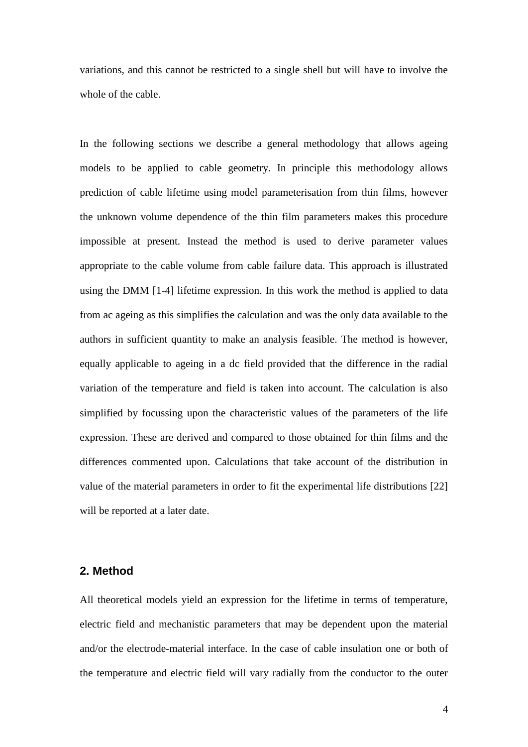variations, and this cannot be restricted to a single shell but will have to involve the whole of the cable.

In the following sections we describe a general methodology that allows ageing models to be applied to cable geometry. In principle this methodology allows prediction of cable lifetime using model parameterisation from thin films, however the unknown volume dependence of the thin film parameters makes this procedure impossible at present. Instead the method is used to derive parameter values appropriate to the cable volume from cable failure data. This approach is illustrated using the DMM [1-4] lifetime expression. In this work the method is applied to data from ac ageing as this simplifies the calculation and was the only data available to the authors in sufficient quantity to make an analysis feasible. The method is however, equally applicable to ageing in a dc field provided that the difference in the radial variation of the temperature and field is taken into account. The calculation is also simplified by focussing upon the characteristic values of the parameters of the life expression. These are derived and compared to those obtained for thin films and the differences commented upon. Calculations that take account of the distribution in value of the material parameters in order to fit the experimental life distributions [22] will be reported at a later date.

### **2. Method**

All theoretical models yield an expression for the lifetime in terms of temperature, electric field and mechanistic parameters that may be dependent upon the material and/or the electrode-material interface. In the case of cable insulation one or both of the temperature and electric field will vary radially from the conductor to the outer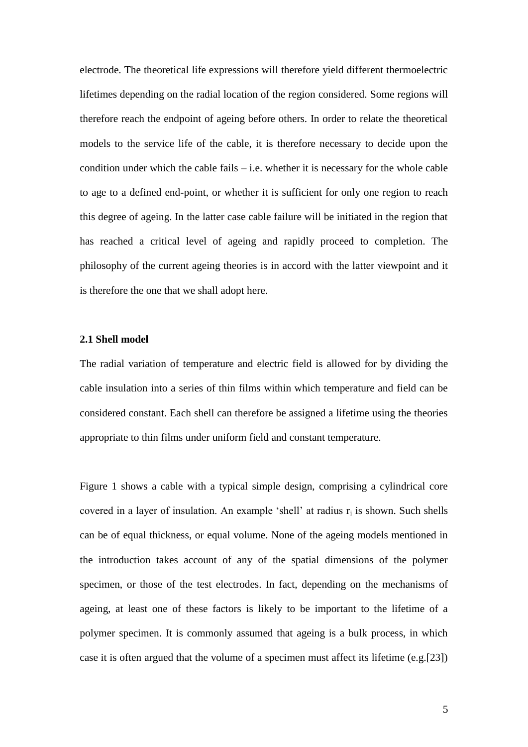electrode. The theoretical life expressions will therefore yield different thermoelectric lifetimes depending on the radial location of the region considered. Some regions will therefore reach the endpoint of ageing before others. In order to relate the theoretical models to the service life of the cable, it is therefore necessary to decide upon the condition under which the cable fails – i.e. whether it is necessary for the whole cable to age to a defined end-point, or whether it is sufficient for only one region to reach this degree of ageing. In the latter case cable failure will be initiated in the region that has reached a critical level of ageing and rapidly proceed to completion. The philosophy of the current ageing theories is in accord with the latter viewpoint and it is therefore the one that we shall adopt here.

#### **2.1 Shell model**

The radial variation of temperature and electric field is allowed for by dividing the cable insulation into a series of thin films within which temperature and field can be considered constant. Each shell can therefore be assigned a lifetime using the theories appropriate to thin films under uniform field and constant temperature.

Figure 1 shows a cable with a typical simple design, comprising a cylindrical core covered in a layer of insulation. An example 'shell' at radius  $r_i$  is shown. Such shells can be of equal thickness, or equal volume. None of the ageing models mentioned in the introduction takes account of any of the spatial dimensions of the polymer specimen, or those of the test electrodes. In fact, depending on the mechanisms of ageing, at least one of these factors is likely to be important to the lifetime of a polymer specimen. It is commonly assumed that ageing is a bulk process, in which case it is often argued that the volume of a specimen must affect its lifetime (e.g.[23])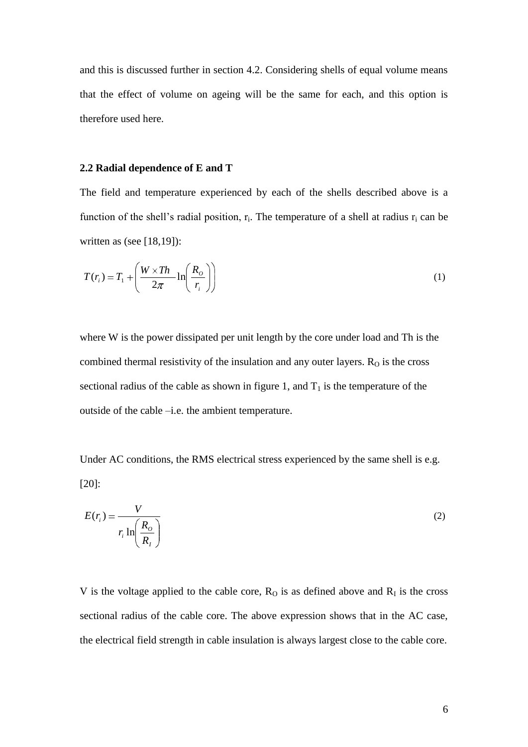and this is discussed further in section 4.2. Considering shells of equal volume means that the effect of volume on ageing will be the same for each, and this option is therefore used here.

#### **2.2 Radial dependence of E and T**

The field and temperature experienced by each of the shells described above is a function of the shell's radial position,  $r_i$ . The temperature of a shell at radius  $r_i$  can be written as (see  $[18,19]$ ):

$$
T(r_i) = T_1 + \left(\frac{W \times Th}{2\pi} \ln\left(\frac{R_o}{r_i}\right)\right) \tag{1}
$$

where W is the power dissipated per unit length by the core under load and Th is the combined thermal resistivity of the insulation and any outer layers.  $R<sub>O</sub>$  is the cross sectional radius of the cable as shown in figure 1, and  $T_1$  is the temperature of the outside of the cable –i.e. the ambient temperature.

Under AC conditions, the RMS electrical stress experienced by the same shell is e.g. [20]:

$$
E(r_i) = \frac{V}{r_i \ln\left(\frac{R_o}{R_i}\right)}
$$
 (2)

V is the voltage applied to the cable core,  $R<sub>O</sub>$  is as defined above and  $R<sub>I</sub>$  is the cross sectional radius of the cable core. The above expression shows that in the AC case, the electrical field strength in cable insulation is always largest close to the cable core.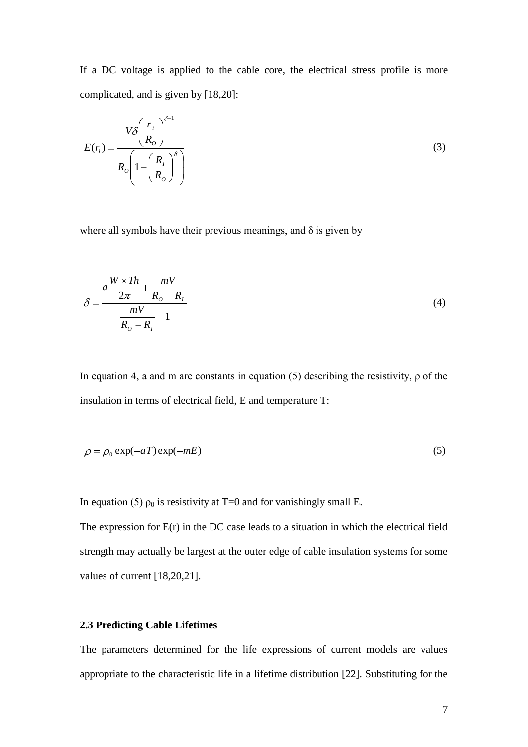If a DC voltage is applied to the cable core, the electrical stress profile is more complicated, and is given by [18,20]:

$$
E(r_i) = \frac{V \delta \left(\frac{r_i}{R_o}\right)^{\delta - 1}}{R_o \left(1 - \left(\frac{R_i}{R_o}\right)^{\delta}\right)}
$$
(3)

where all symbols have their previous meanings, and  $\delta$  is given by

$$
\delta = \frac{a\frac{W \times Th}{2\pi} + \frac{mV}{R_o - R_I}}{\frac{mV}{R_o - R_I} + 1}
$$
\n(4)

In equation 4, a and m are constants in equation (5) describing the resistivity,  $\rho$  of the insulation in terms of electrical field, E and temperature T:

$$
\rho = \rho_0 \exp(-aT) \exp(-mE) \tag{5}
$$

In equation (5)  $\rho_0$  is resistivity at T=0 and for vanishingly small E.

The expression for  $E(r)$  in the DC case leads to a situation in which the electrical field strength may actually be largest at the outer edge of cable insulation systems for some values of current [18,20,21].

#### **2.3 Predicting Cable Lifetimes**

The parameters determined for the life expressions of current models are values appropriate to the characteristic life in a lifetime distribution [22]. Substituting for the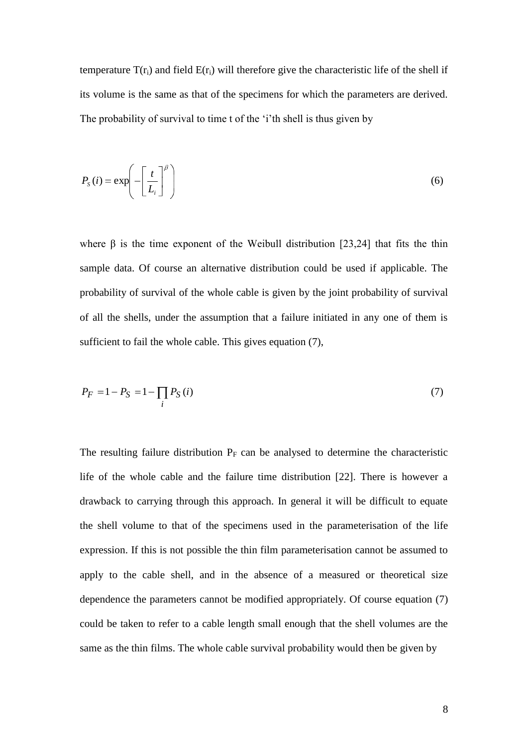temperature  $T(r_i)$  and field  $E(r_i)$  will therefore give the characteristic life of the shell if its volume is the same as that of the specimens for which the parameters are derived. The probability of survival to time t of the "i"th shell is thus given by

$$
P_{s}(i) = \exp\left(-\left[\frac{t}{L_{i}}\right]^{\beta}\right) \tag{6}
$$

where  $\beta$  is the time exponent of the Weibull distribution [23,24] that fits the thin sample data. Of course an alternative distribution could be used if applicable. The probability of survival of the whole cable is given by the joint probability of survival of all the shells, under the assumption that a failure initiated in any one of them is sufficient to fail the whole cable. This gives equation (7),

$$
P_F = 1 - P_S = 1 - \prod_i P_S(i)
$$
\n(7)

The resulting failure distribution  $P_F$  can be analysed to determine the characteristic life of the whole cable and the failure time distribution [22]. There is however a drawback to carrying through this approach. In general it will be difficult to equate the shell volume to that of the specimens used in the parameterisation of the life expression. If this is not possible the thin film parameterisation cannot be assumed to apply to the cable shell, and in the absence of a measured or theoretical size dependence the parameters cannot be modified appropriately. Of course equation (7) could be taken to refer to a cable length small enough that the shell volumes are the same as the thin films. The whole cable survival probability would then be given by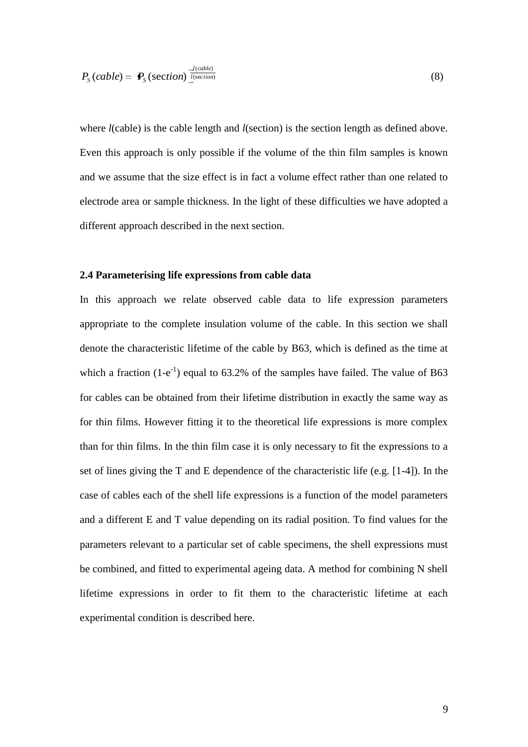$$
P_{S}(cable) = \mathbf{P}_{S}(\text{section})^{\frac{J(cable)}{l(\text{section})}}
$$

where *l*(cable) is the cable length and *l*(section) is the section length as defined above. Even this approach is only possible if the volume of the thin film samples is known and we assume that the size effect is in fact a volume effect rather than one related to electrode area or sample thickness. In the light of these difficulties we have adopted a different approach described in the next section.

#### **2.4 Parameterising life expressions from cable data**

In this approach we relate observed cable data to life expression parameters appropriate to the complete insulation volume of the cable. In this section we shall denote the characteristic lifetime of the cable by B63, which is defined as the time at which a fraction  $(1-e^{-1})$  equal to 63.2% of the samples have failed. The value of B63 for cables can be obtained from their lifetime distribution in exactly the same way as for thin films. However fitting it to the theoretical life expressions is more complex than for thin films. In the thin film case it is only necessary to fit the expressions to a set of lines giving the T and E dependence of the characteristic life (e.g. [1-4]). In the case of cables each of the shell life expressions is a function of the model parameters and a different E and T value depending on its radial position. To find values for the parameters relevant to a particular set of cable specimens, the shell expressions must be combined, and fitted to experimental ageing data. A method for combining N shell lifetime expressions in order to fit them to the characteristic lifetime at each experimental condition is described here.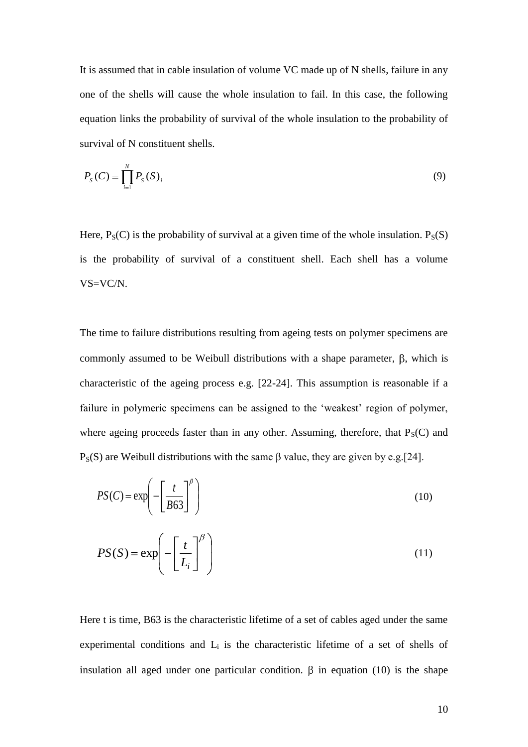It is assumed that in cable insulation of volume VC made up of N shells, failure in any one of the shells will cause the whole insulation to fail. In this case, the following equation links the probability of survival of the whole insulation to the probability of survival of N constituent shells.

$$
P_{S}(C) = \prod_{i=1}^{N} P_{S}(S)_{i}
$$
 (9)

Here,  $P_S(C)$  is the probability of survival at a given time of the whole insulation.  $P_S(S)$ is the probability of survival of a constituent shell. Each shell has a volume VS=VC/N.

The time to failure distributions resulting from ageing tests on polymer specimens are commonly assumed to be Weibull distributions with a shape parameter,  $\beta$ , which is characteristic of the ageing process e.g. [22-24]. This assumption is reasonable if a failure in polymeric specimens can be assigned to the 'weakest' region of polymer, where ageing proceeds faster than in any other. Assuming, therefore, that  $P_S(C)$  and P<sub>S</sub>(S) are Weibull distributions with the same β value, they are given by e.g.[24].

$$
PS(C) = \exp\left(-\left[\frac{t}{B63}\right]^{\beta}\right) \tag{10}
$$

$$
PS(S) = \exp\left(-\left[\frac{t}{L_i}\right]^{\beta}\right) \tag{11}
$$

Here t is time, B63 is the characteristic lifetime of a set of cables aged under the same experimental conditions and  $L_i$  is the characteristic lifetime of a set of shells of insulation all aged under one particular condition.  $\beta$  in equation (10) is the shape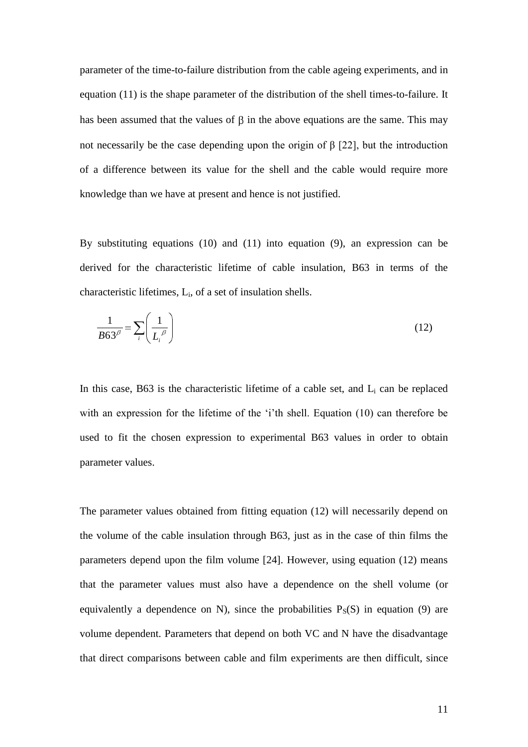parameter of the time-to-failure distribution from the cable ageing experiments, and in equation (11) is the shape parameter of the distribution of the shell times-to-failure. It has been assumed that the values of  $\beta$  in the above equations are the same. This may not necessarily be the case depending upon the origin of β [22], but the introduction of a difference between its value for the shell and the cable would require more knowledge than we have at present and hence is not justified.

By substituting equations (10) and (11) into equation (9), an expression can be derived for the characteristic lifetime of cable insulation, B63 in terms of the characteristic lifetimes,  $L_i$ , of a set of insulation shells.

$$
\frac{1}{B63^{\beta}} = \sum_{i} \left( \frac{1}{L_i^{\beta}} \right)
$$
(12)

In this case,  $B63$  is the characteristic lifetime of a cable set, and  $L_i$  can be replaced with an expression for the lifetime of the 'i'th shell. Equation (10) can therefore be used to fit the chosen expression to experimental B63 values in order to obtain parameter values.

The parameter values obtained from fitting equation (12) will necessarily depend on the volume of the cable insulation through B63, just as in the case of thin films the parameters depend upon the film volume [24]. However, using equation (12) means that the parameter values must also have a dependence on the shell volume (or equivalently a dependence on N), since the probabilities  $P_S(S)$  in equation (9) are volume dependent. Parameters that depend on both VC and N have the disadvantage that direct comparisons between cable and film experiments are then difficult, since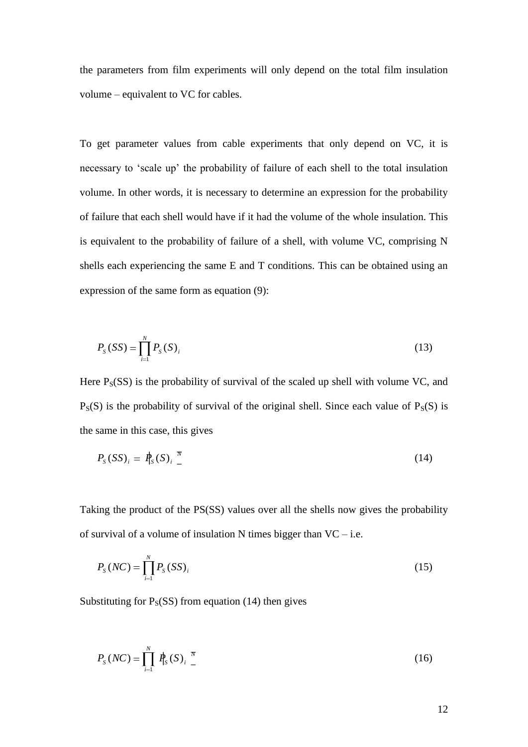the parameters from film experiments will only depend on the total film insulation volume – equivalent to VC for cables.

To get parameter values from cable experiments that only depend on VC, it is necessary to "scale up" the probability of failure of each shell to the total insulation volume. In other words, it is necessary to determine an expression for the probability of failure that each shell would have if it had the volume of the whole insulation. This is equivalent to the probability of failure of a shell, with volume VC, comprising N shells each experiencing the same E and T conditions. This can be obtained using an expression of the same form as equation (9):

$$
P_{S}(SS) = \prod_{i=1}^{N} P_{S}(S)_{i}
$$
 (13)

Here  $P_S(SS)$  is the probability of survival of the scaled up shell with volume VC, and  $P_S(S)$  is the probability of survival of the original shell. Since each value of  $P_S(S)$  is the same in this case, this gives

$$
P_{\rm S}(SS)_i = P_{\rm S}(S)_i \frac{\pi}{2} \tag{14}
$$

Taking the product of the PS(SS) values over all the shells now gives the probability of survival of a volume of insulation N times bigger than  $VC$  – i.e.

$$
P_{S}(NC) = \prod_{i=1}^{N} P_{S}(SS)_{i}
$$
 (15)

Substituting for  $P_S(SS)$  from equation (14) then gives

$$
P_{S}(NC) = \prod_{i=1}^{N} P_{S}(S)_{i} \frac{\pi}{4}
$$
 (16)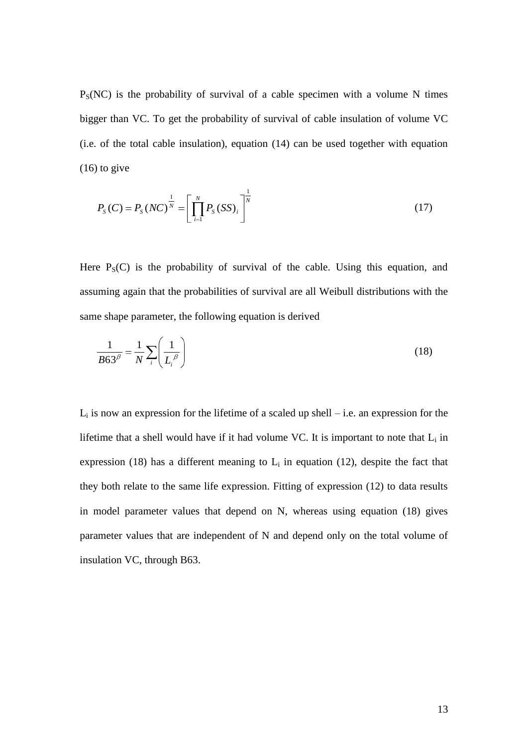$P<sub>S</sub>(NC)$  is the probability of survival of a cable specimen with a volume N times bigger than VC. To get the probability of survival of cable insulation of volume VC (i.e. of the total cable insulation), equation (14) can be used together with equation  $(16)$  to give

$$
P_{S}(C) = P_{S}(NC)^{\frac{1}{N}} = \left[\prod_{i=1}^{N} P_{S}(SS)_{i}\right]^{\frac{1}{N}}
$$
(17)

Here  $P_S(C)$  is the probability of survival of the cable. Using this equation, and assuming again that the probabilities of survival are all Weibull distributions with the same shape parameter, the following equation is derived

$$
\frac{1}{B63^{\beta}} = \frac{1}{N} \sum_{i} \left( \frac{1}{L_i^{\beta}} \right)
$$
(18)

 $L_i$  is now an expression for the lifetime of a scaled up shell – i.e. an expression for the lifetime that a shell would have if it had volume VC. It is important to note that  $L_i$  in expression (18) has a different meaning to  $L_i$  in equation (12), despite the fact that they both relate to the same life expression. Fitting of expression (12) to data results in model parameter values that depend on N, whereas using equation (18) gives parameter values that are independent of N and depend only on the total volume of insulation VC, through B63.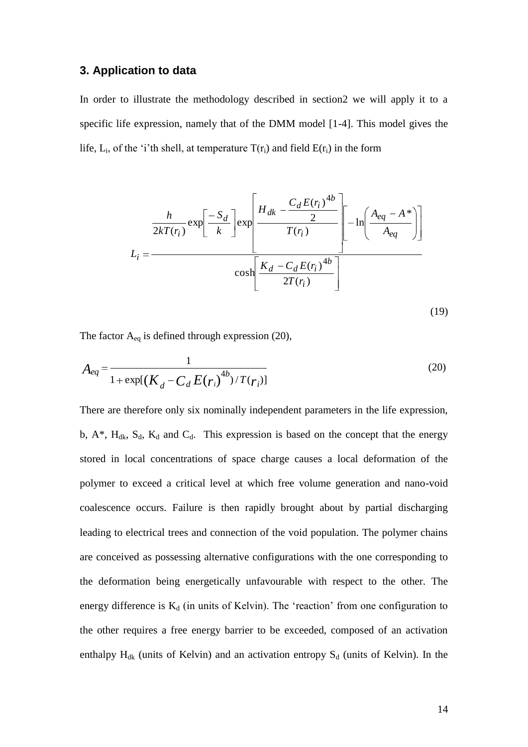### **3. Application to data**

In order to illustrate the methodology described in section2 we will apply it to a specific life expression, namely that of the DMM model [1-4]. This model gives the life,  $L_i$ , of the 'i'th shell, at temperature  $T(r_i)$  and field  $E(r_i)$  in the form

$$
L_{i} = \frac{\frac{h}{2kT(r_{i})} \exp\left[\frac{-S_{d}}{k}\right] \exp\left[\frac{H_{dk} - \frac{C_{d}E(r_{i})^{4b}}{2}}{T(r_{i})}\right] - \ln\left(\frac{A_{eq} - A^{*}}{A_{eq}}\right)\right]}{\cosh\left[\frac{K_{d} - C_{d}E(r_{i})^{4b}}{2T(r_{i})}\right]}
$$
(19)

The factor  $A_{eq}$  is defined through expression (20),

$$
A_{eq} = \frac{1}{1 + \exp[(K_d - C_d E(r_i)^{4b}) / T(r_i)]}
$$
(20)

There are therefore only six nominally independent parameters in the life expression, b,  $A^*$ ,  $H_{dk}$ ,  $S_d$ ,  $K_d$  and  $C_d$ . This expression is based on the concept that the energy stored in local concentrations of space charge causes a local deformation of the polymer to exceed a critical level at which free volume generation and nano-void coalescence occurs. Failure is then rapidly brought about by partial discharging leading to electrical trees and connection of the void population. The polymer chains are conceived as possessing alternative configurations with the one corresponding to the deformation being energetically unfavourable with respect to the other. The energy difference is  $K_d$  (in units of Kelvin). The 'reaction' from one configuration to the other requires a free energy barrier to be exceeded, composed of an activation enthalpy  $H_{dk}$  (units of Kelvin) and an activation entropy  $S_d$  (units of Kelvin). In the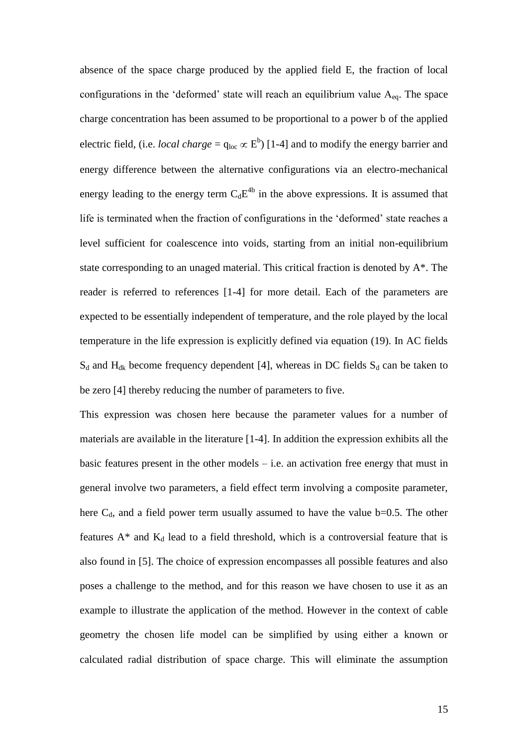absence of the space charge produced by the applied field E, the fraction of local configurations in the 'deformed' state will reach an equilibrium value  $A_{eq}$ . The space charge concentration has been assumed to be proportional to a power b of the applied electric field, (i.e. *local charge* =  $q_{loc} \propto E^b$ ) [1-4] and to modify the energy barrier and energy difference between the alternative configurations via an electro-mechanical energy leading to the energy term  $C_dE^{4b}$  in the above expressions. It is assumed that life is terminated when the fraction of configurations in the "deformed" state reaches a level sufficient for coalescence into voids, starting from an initial non-equilibrium state corresponding to an unaged material. This critical fraction is denoted by A\*. The reader is referred to references [1-4] for more detail. Each of the parameters are expected to be essentially independent of temperature, and the role played by the local temperature in the life expression is explicitly defined via equation (19). In AC fields  $S_d$  and  $H_{dk}$  become frequency dependent [4], whereas in DC fields  $S_d$  can be taken to be zero [4] thereby reducing the number of parameters to five.

This expression was chosen here because the parameter values for a number of materials are available in the literature [1-4]. In addition the expression exhibits all the basic features present in the other models  $-$  i.e. an activation free energy that must in general involve two parameters, a field effect term involving a composite parameter, here  $C_d$ , and a field power term usually assumed to have the value b=0.5. The other features  $A^*$  and  $K_d$  lead to a field threshold, which is a controversial feature that is also found in [5]. The choice of expression encompasses all possible features and also poses a challenge to the method, and for this reason we have chosen to use it as an example to illustrate the application of the method. However in the context of cable geometry the chosen life model can be simplified by using either a known or calculated radial distribution of space charge. This will eliminate the assumption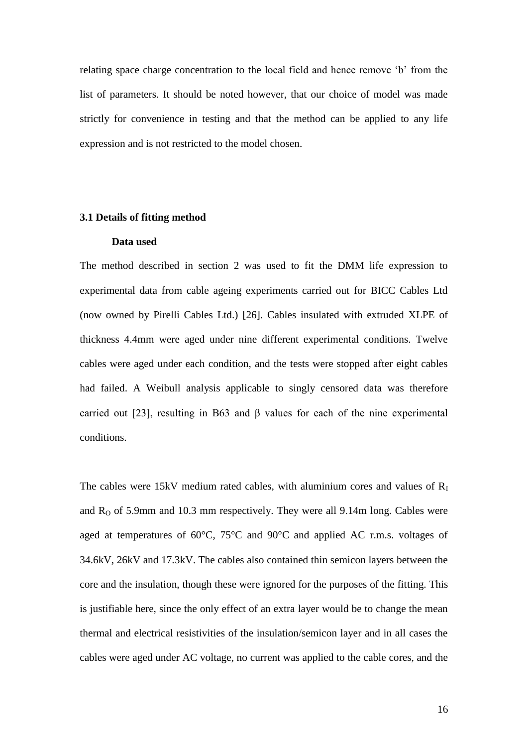relating space charge concentration to the local field and hence remove "b" from the list of parameters. It should be noted however, that our choice of model was made strictly for convenience in testing and that the method can be applied to any life expression and is not restricted to the model chosen.

#### **3.1 Details of fitting method**

#### **Data used**

The method described in section 2 was used to fit the DMM life expression to experimental data from cable ageing experiments carried out for BICC Cables Ltd (now owned by Pirelli Cables Ltd.) [26]. Cables insulated with extruded XLPE of thickness 4.4mm were aged under nine different experimental conditions. Twelve cables were aged under each condition, and the tests were stopped after eight cables had failed. A Weibull analysis applicable to singly censored data was therefore carried out [23], resulting in B63 and β values for each of the nine experimental conditions.

The cables were 15kV medium rated cables, with aluminium cores and values of  $R<sub>I</sub>$ and  $R<sub>0</sub>$  of 5.9mm and 10.3 mm respectively. They were all 9.14m long. Cables were aged at temperatures of 60°C, 75°C and 90°C and applied AC r.m.s. voltages of 34.6kV, 26kV and 17.3kV. The cables also contained thin semicon layers between the core and the insulation, though these were ignored for the purposes of the fitting. This is justifiable here, since the only effect of an extra layer would be to change the mean thermal and electrical resistivities of the insulation/semicon layer and in all cases the cables were aged under AC voltage, no current was applied to the cable cores, and the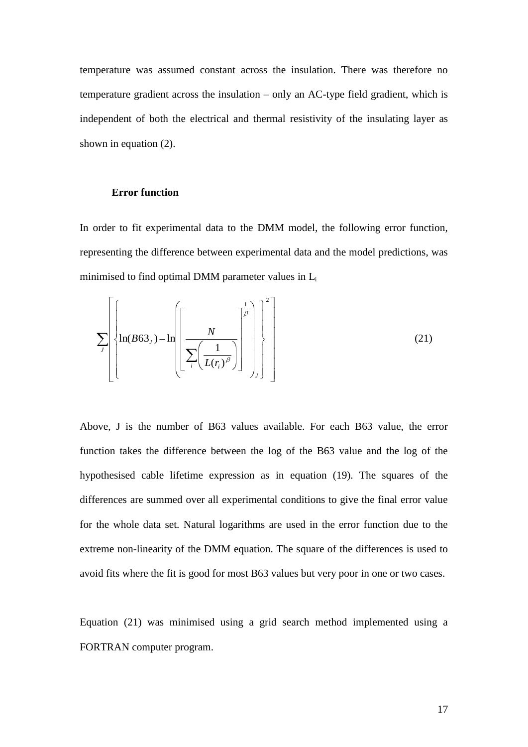temperature was assumed constant across the insulation. There was therefore no temperature gradient across the insulation – only an AC-type field gradient, which is independent of both the electrical and thermal resistivity of the insulating layer as shown in equation (2).

#### **Error function**

In order to fit experimental data to the DMM model, the following error function, representing the difference between experimental data and the model predictions, was minimised to find optimal DMM parameter values in L<sup>i</sup>

$$
\sum_{J} \left\{ \ln(B63_J) - \ln \left[ \left[ \frac{N}{\sum_{i} \left( \frac{1}{L(r_i)^{\beta}} \right)} \right]^{2} \right] \right\}
$$
(21)

Above, J is the number of B63 values available. For each B63 value, the error function takes the difference between the log of the B63 value and the log of the hypothesised cable lifetime expression as in equation (19). The squares of the differences are summed over all experimental conditions to give the final error value for the whole data set. Natural logarithms are used in the error function due to the extreme non-linearity of the DMM equation. The square of the differences is used to avoid fits where the fit is good for most B63 values but very poor in one or two cases.

Equation (21) was minimised using a grid search method implemented using a FORTRAN computer program.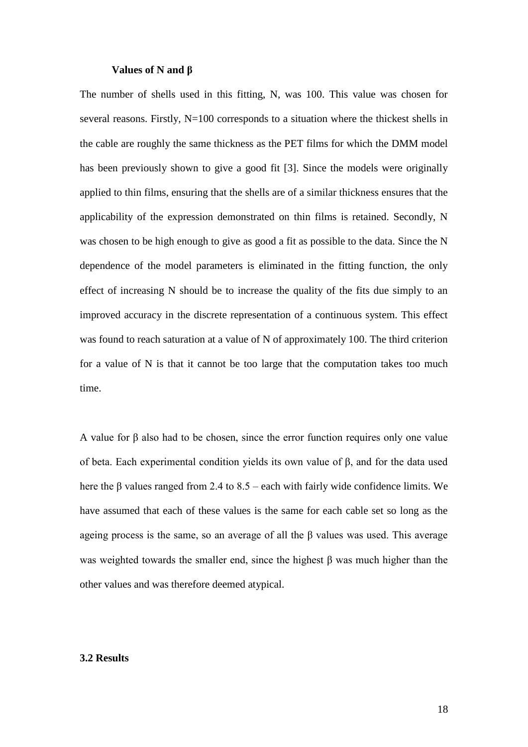#### **Values of N and β**

The number of shells used in this fitting, N, was 100. This value was chosen for several reasons. Firstly, N=100 corresponds to a situation where the thickest shells in the cable are roughly the same thickness as the PET films for which the DMM model has been previously shown to give a good fit [3]. Since the models were originally applied to thin films, ensuring that the shells are of a similar thickness ensures that the applicability of the expression demonstrated on thin films is retained. Secondly, N was chosen to be high enough to give as good a fit as possible to the data. Since the N dependence of the model parameters is eliminated in the fitting function, the only effect of increasing N should be to increase the quality of the fits due simply to an improved accuracy in the discrete representation of a continuous system. This effect was found to reach saturation at a value of N of approximately 100. The third criterion for a value of N is that it cannot be too large that the computation takes too much time.

A value for β also had to be chosen, since the error function requires only one value of beta. Each experimental condition yields its own value of β, and for the data used here the β values ranged from 2.4 to 8.5 – each with fairly wide confidence limits. We have assumed that each of these values is the same for each cable set so long as the ageing process is the same, so an average of all the β values was used. This average was weighted towards the smaller end, since the highest β was much higher than the other values and was therefore deemed atypical.

#### **3.2 Results**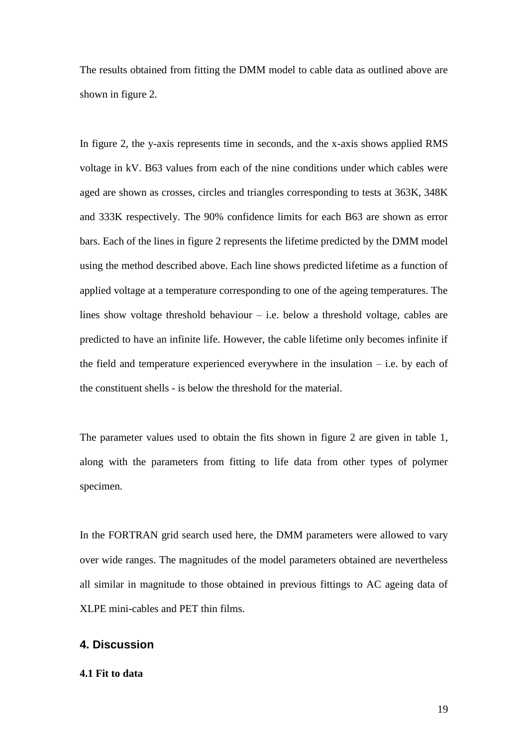The results obtained from fitting the DMM model to cable data as outlined above are shown in figure 2.

In figure 2, the y-axis represents time in seconds, and the x-axis shows applied RMS voltage in kV. B63 values from each of the nine conditions under which cables were aged are shown as crosses, circles and triangles corresponding to tests at 363K, 348K and 333K respectively. The 90% confidence limits for each B63 are shown as error bars. Each of the lines in figure 2 represents the lifetime predicted by the DMM model using the method described above. Each line shows predicted lifetime as a function of applied voltage at a temperature corresponding to one of the ageing temperatures. The lines show voltage threshold behaviour – i.e. below a threshold voltage, cables are predicted to have an infinite life. However, the cable lifetime only becomes infinite if the field and temperature experienced everywhere in the insulation  $-$  i.e. by each of the constituent shells - is below the threshold for the material.

The parameter values used to obtain the fits shown in figure 2 are given in table 1, along with the parameters from fitting to life data from other types of polymer specimen.

In the FORTRAN grid search used here, the DMM parameters were allowed to vary over wide ranges. The magnitudes of the model parameters obtained are nevertheless all similar in magnitude to those obtained in previous fittings to AC ageing data of XLPE mini-cables and PET thin films.

## **4. Discussion**

#### **4.1 Fit to data**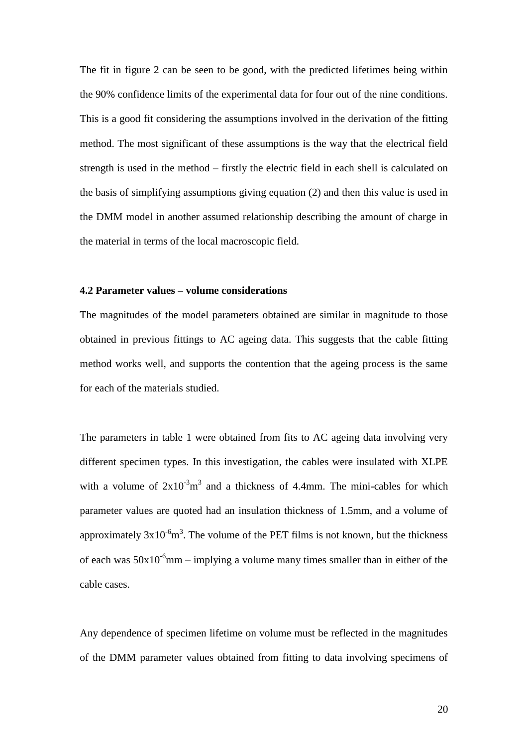The fit in figure 2 can be seen to be good, with the predicted lifetimes being within the 90% confidence limits of the experimental data for four out of the nine conditions. This is a good fit considering the assumptions involved in the derivation of the fitting method. The most significant of these assumptions is the way that the electrical field strength is used in the method – firstly the electric field in each shell is calculated on the basis of simplifying assumptions giving equation (2) and then this value is used in the DMM model in another assumed relationship describing the amount of charge in the material in terms of the local macroscopic field.

#### **4.2 Parameter values – volume considerations**

The magnitudes of the model parameters obtained are similar in magnitude to those obtained in previous fittings to AC ageing data. This suggests that the cable fitting method works well, and supports the contention that the ageing process is the same for each of the materials studied.

The parameters in table 1 were obtained from fits to AC ageing data involving very different specimen types. In this investigation, the cables were insulated with XLPE with a volume of  $2x10^{-3}m^3$  and a thickness of 4.4mm. The mini-cables for which parameter values are quoted had an insulation thickness of 1.5mm, and a volume of approximately  $3x10^{-6}m^3$ . The volume of the PET films is not known, but the thickness of each was  $50x10^{-6}$ mm – implying a volume many times smaller than in either of the cable cases.

Any dependence of specimen lifetime on volume must be reflected in the magnitudes of the DMM parameter values obtained from fitting to data involving specimens of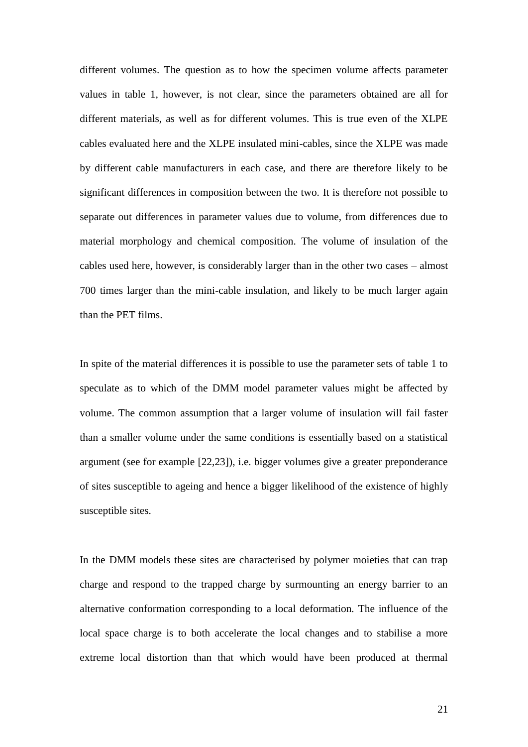different volumes. The question as to how the specimen volume affects parameter values in table 1, however, is not clear, since the parameters obtained are all for different materials, as well as for different volumes. This is true even of the XLPE cables evaluated here and the XLPE insulated mini-cables, since the XLPE was made by different cable manufacturers in each case, and there are therefore likely to be significant differences in composition between the two. It is therefore not possible to separate out differences in parameter values due to volume, from differences due to material morphology and chemical composition. The volume of insulation of the cables used here, however, is considerably larger than in the other two cases – almost 700 times larger than the mini-cable insulation, and likely to be much larger again than the PET films.

In spite of the material differences it is possible to use the parameter sets of table 1 to speculate as to which of the DMM model parameter values might be affected by volume. The common assumption that a larger volume of insulation will fail faster than a smaller volume under the same conditions is essentially based on a statistical argument (see for example [22,23]), i.e. bigger volumes give a greater preponderance of sites susceptible to ageing and hence a bigger likelihood of the existence of highly susceptible sites.

In the DMM models these sites are characterised by polymer moieties that can trap charge and respond to the trapped charge by surmounting an energy barrier to an alternative conformation corresponding to a local deformation. The influence of the local space charge is to both accelerate the local changes and to stabilise a more extreme local distortion than that which would have been produced at thermal

21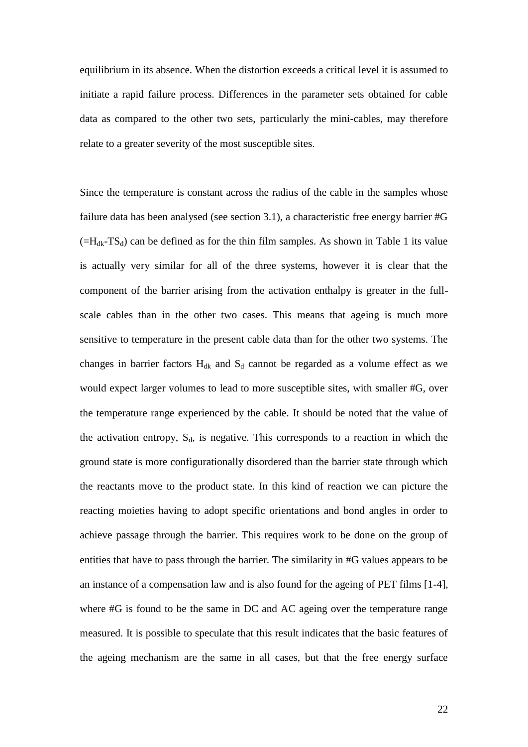equilibrium in its absence. When the distortion exceeds a critical level it is assumed to initiate a rapid failure process. Differences in the parameter sets obtained for cable data as compared to the other two sets, particularly the mini-cables, may therefore relate to a greater severity of the most susceptible sites.

Since the temperature is constant across the radius of the cable in the samples whose failure data has been analysed (see section 3.1), a characteristic free energy barrier #G  $(=H<sub>dk</sub>-TS<sub>d</sub>)$  can be defined as for the thin film samples. As shown in Table 1 its value is actually very similar for all of the three systems, however it is clear that the component of the barrier arising from the activation enthalpy is greater in the fullscale cables than in the other two cases. This means that ageing is much more sensitive to temperature in the present cable data than for the other two systems. The changes in barrier factors  $H_{dk}$  and  $S_d$  cannot be regarded as a volume effect as we would expect larger volumes to lead to more susceptible sites, with smaller #G, over the temperature range experienced by the cable. It should be noted that the value of the activation entropy,  $S_d$ , is negative. This corresponds to a reaction in which the ground state is more configurationally disordered than the barrier state through which the reactants move to the product state. In this kind of reaction we can picture the reacting moieties having to adopt specific orientations and bond angles in order to achieve passage through the barrier. This requires work to be done on the group of entities that have to pass through the barrier. The similarity in #G values appears to be an instance of a compensation law and is also found for the ageing of PET films [1-4], where #G is found to be the same in DC and AC ageing over the temperature range measured. It is possible to speculate that this result indicates that the basic features of the ageing mechanism are the same in all cases, but that the free energy surface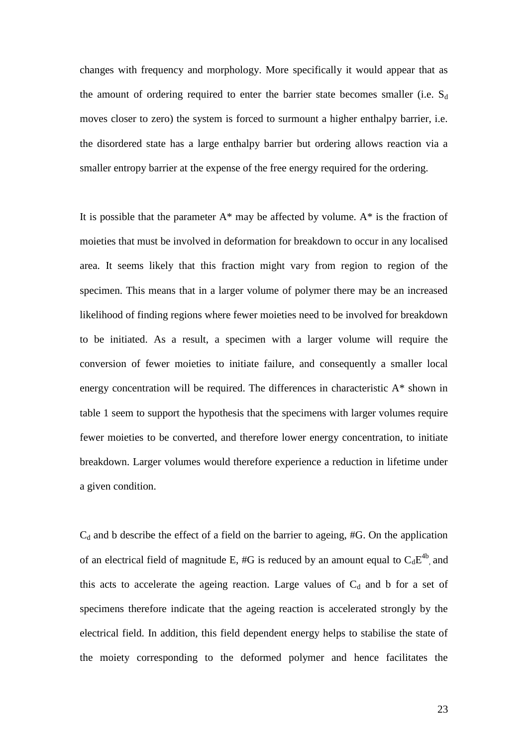changes with frequency and morphology. More specifically it would appear that as the amount of ordering required to enter the barrier state becomes smaller (i.e.  $S_d$ ) moves closer to zero) the system is forced to surmount a higher enthalpy barrier, i.e. the disordered state has a large enthalpy barrier but ordering allows reaction via a smaller entropy barrier at the expense of the free energy required for the ordering.

It is possible that the parameter  $A^*$  may be affected by volume.  $A^*$  is the fraction of moieties that must be involved in deformation for breakdown to occur in any localised area. It seems likely that this fraction might vary from region to region of the specimen. This means that in a larger volume of polymer there may be an increased likelihood of finding regions where fewer moieties need to be involved for breakdown to be initiated. As a result, a specimen with a larger volume will require the conversion of fewer moieties to initiate failure, and consequently a smaller local energy concentration will be required. The differences in characteristic A\* shown in table 1 seem to support the hypothesis that the specimens with larger volumes require fewer moieties to be converted, and therefore lower energy concentration, to initiate breakdown. Larger volumes would therefore experience a reduction in lifetime under a given condition.

 $C_d$  and b describe the effect of a field on the barrier to ageing, #G. On the application of an electrical field of magnitude E, #G is reduced by an amount equal to  $C_dE^{4b}$ , and this acts to accelerate the ageing reaction. Large values of  $C_d$  and b for a set of specimens therefore indicate that the ageing reaction is accelerated strongly by the electrical field. In addition, this field dependent energy helps to stabilise the state of the moiety corresponding to the deformed polymer and hence facilitates the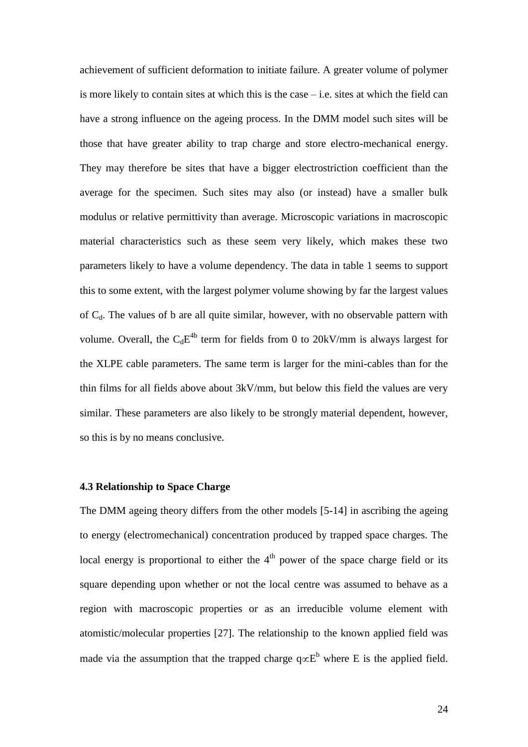achievement of sufficient deformation to initiate failure. A greater volume of polymer is more likely to contain sites at which this is the case  $-$  i.e. sites at which the field can have a strong influence on the ageing process. In the DMM model such sites will be those that have greater ability to trap charge and store electro-mechanical energy. They may therefore be sites that have a bigger electrostriction coefficient than the average for the specimen. Such sites may also (or instead) have a smaller bulk modulus or relative permittivity than average. Microscopic variations in macroscopic material characteristics such as these seem very likely, which makes these two parameters likely to have a volume dependency. The data in table 1 seems to support this to some extent, with the largest polymer volume showing by far the largest values of  $C_d$ . The values of b are all quite similar, however, with no observable pattern with volume. Overall, the  $C_dE^{4b}$  term for fields from 0 to 20kV/mm is always largest for the XLPE cable parameters. The same term is larger for the mini-cables than for the thin films for all fields above about 3kV/mm, but below this field the values are very similar. These parameters are also likely to be strongly material dependent, however, so this is by no means conclusive.

#### **4.3 Relationship to Space Charge**

The DMM ageing theory differs from the other models [5-14] in ascribing the ageing to energy (electromechanical) concentration produced by trapped space charges. The local energy is proportional to either the  $4<sup>th</sup>$  power of the space charge field or its square depending upon whether or not the local centre was assumed to behave as a region with macroscopic properties or as an irreducible volume element with atomistic/molecular properties [27]. The relationship to the known applied field was made via the assumption that the trapped charge  $q \propto E^b$  where E is the applied field.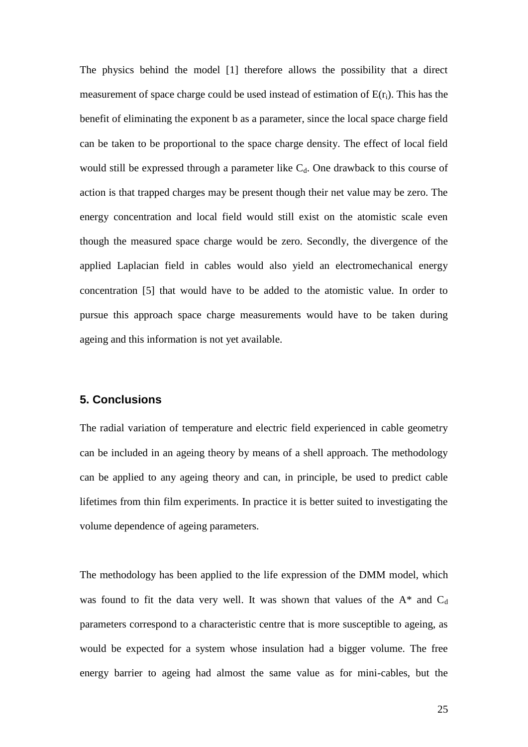The physics behind the model [1] therefore allows the possibility that a direct measurement of space charge could be used instead of estimation of  $E(r_i)$ . This has the benefit of eliminating the exponent b as a parameter, since the local space charge field can be taken to be proportional to the space charge density. The effect of local field would still be expressed through a parameter like  $C_d$ . One drawback to this course of action is that trapped charges may be present though their net value may be zero. The energy concentration and local field would still exist on the atomistic scale even though the measured space charge would be zero. Secondly, the divergence of the applied Laplacian field in cables would also yield an electromechanical energy concentration [5] that would have to be added to the atomistic value. In order to pursue this approach space charge measurements would have to be taken during ageing and this information is not yet available.

## **5. Conclusions**

The radial variation of temperature and electric field experienced in cable geometry can be included in an ageing theory by means of a shell approach. The methodology can be applied to any ageing theory and can, in principle, be used to predict cable lifetimes from thin film experiments. In practice it is better suited to investigating the volume dependence of ageing parameters.

The methodology has been applied to the life expression of the DMM model, which was found to fit the data very well. It was shown that values of the  $A^*$  and  $C_d$ parameters correspond to a characteristic centre that is more susceptible to ageing, as would be expected for a system whose insulation had a bigger volume. The free energy barrier to ageing had almost the same value as for mini-cables, but the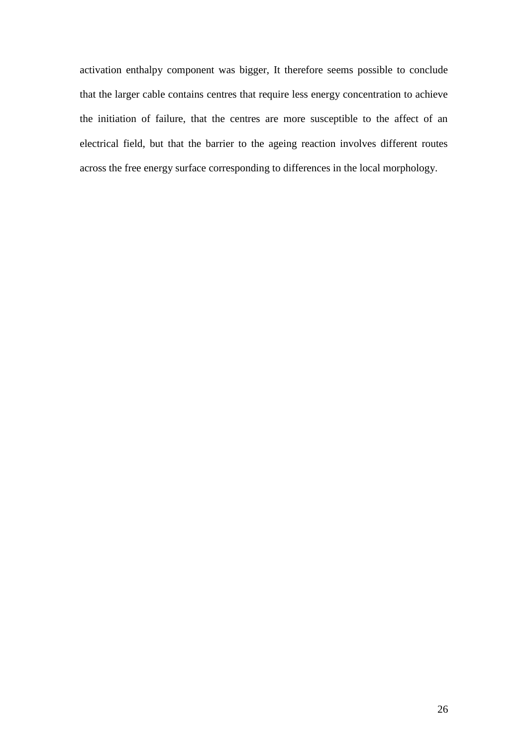activation enthalpy component was bigger, It therefore seems possible to conclude that the larger cable contains centres that require less energy concentration to achieve the initiation of failure, that the centres are more susceptible to the affect of an electrical field, but that the barrier to the ageing reaction involves different routes across the free energy surface corresponding to differences in the local morphology.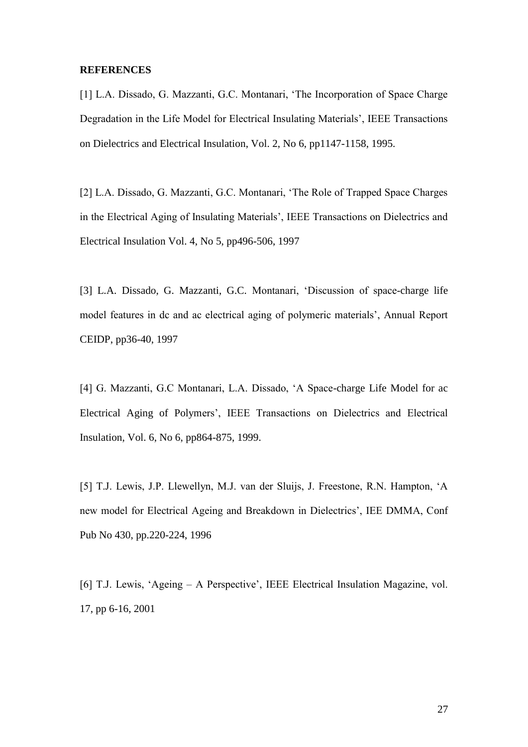#### **REFERENCES**

[1] L.A. Dissado, G. Mazzanti, G.C. Montanari, 'The Incorporation of Space Charge Degradation in the Life Model for Electrical Insulating Materials", IEEE Transactions on Dielectrics and Electrical Insulation, Vol. 2, No 6, pp1147-1158, 1995.

[2] L.A. Dissado, G. Mazzanti, G.C. Montanari, "The Role of Trapped Space Charges in the Electrical Aging of Insulating Materials", IEEE Transactions on Dielectrics and Electrical Insulation Vol. 4, No 5, pp496-506, 1997

[3] L.A. Dissado, G. Mazzanti, G.C. Montanari, "Discussion of space-charge life model features in dc and ac electrical aging of polymeric materials", Annual Report CEIDP, pp36-40, 1997

[4] G. Mazzanti, G.C Montanari, L.A. Dissado, "A Space-charge Life Model for ac Electrical Aging of Polymers", IEEE Transactions on Dielectrics and Electrical Insulation, Vol. 6, No 6, pp864-875, 1999.

[5] T.J. Lewis, J.P. Llewellyn, M.J. van der Sluijs, J. Freestone, R.N. Hampton, "A new model for Electrical Ageing and Breakdown in Dielectrics", IEE DMMA, Conf Pub No 430, pp.220-224, 1996

[6] T.J. Lewis, 'Ageing – A Perspective', IEEE Electrical Insulation Magazine, vol. 17, pp 6-16, 2001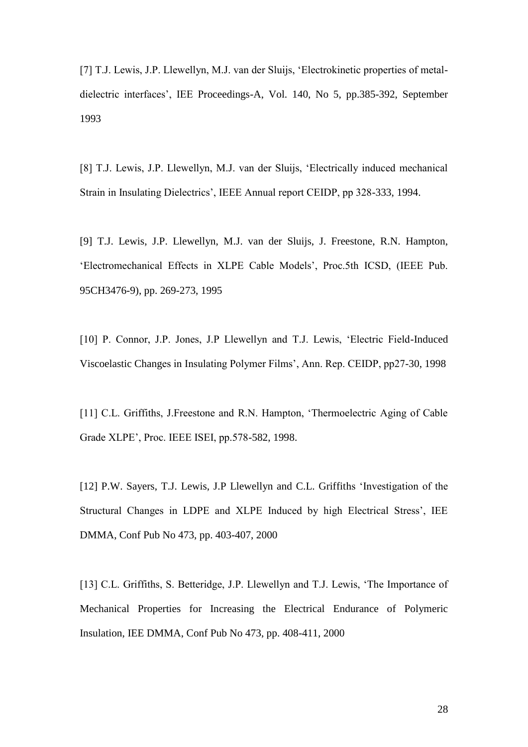[7] T.J. Lewis, J.P. Llewellyn, M.J. van der Sluijs, "Electrokinetic properties of metaldielectric interfaces", IEE Proceedings-A, Vol. 140, No 5, pp.385-392, September 1993

[8] T.J. Lewis, J.P. Llewellyn, M.J. van der Sluijs, "Electrically induced mechanical Strain in Insulating Dielectrics", IEEE Annual report CEIDP, pp 328-333, 1994.

[9] T.J. Lewis, J.P. Llewellyn, M.J. van der Sluijs, J. Freestone, R.N. Hampton, "Electromechanical Effects in XLPE Cable Models", Proc.5th ICSD, (IEEE Pub. 95CH3476-9), pp. 269-273, 1995

[10] P. Connor, J.P. Jones, J.P Llewellyn and T.J. Lewis, 'Electric Field-Induced Viscoelastic Changes in Insulating Polymer Films", Ann. Rep. CEIDP, pp27-30, 1998

[11] C.L. Griffiths, J.Freestone and R.N. Hampton, 'Thermoelectric Aging of Cable Grade XLPE", Proc. IEEE ISEI, pp.578-582, 1998.

[12] P.W. Sayers, T.J. Lewis, J.P Llewellyn and C.L. Griffiths 'Investigation of the Structural Changes in LDPE and XLPE Induced by high Electrical Stress', IEE DMMA, Conf Pub No 473, pp. 403-407, 2000

[13] C.L. Griffiths, S. Betteridge, J.P. Llewellyn and T.J. Lewis, 'The Importance of Mechanical Properties for Increasing the Electrical Endurance of Polymeric Insulation, IEE DMMA, Conf Pub No 473, pp. 408-411, 2000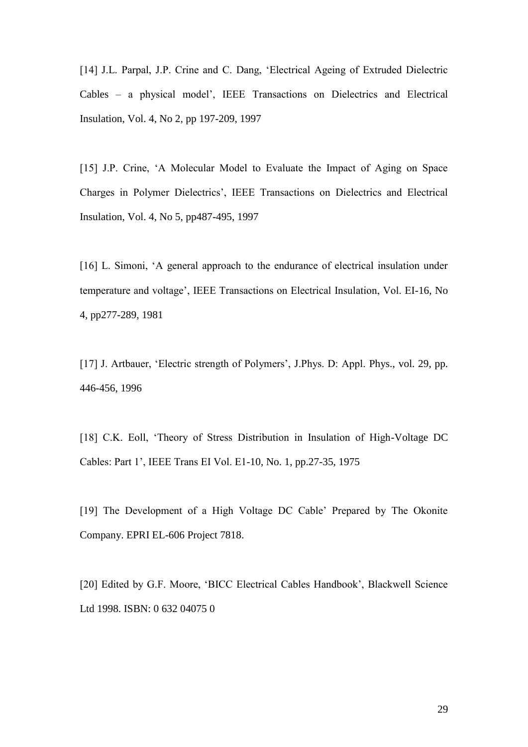[14] J.L. Parpal, J.P. Crine and C. Dang, "Electrical Ageing of Extruded Dielectric Cables – a physical model", IEEE Transactions on Dielectrics and Electrical Insulation, Vol. 4, No 2, pp 197-209, 1997

[15] J.P. Crine, 'A Molecular Model to Evaluate the Impact of Aging on Space Charges in Polymer Dielectrics", IEEE Transactions on Dielectrics and Electrical Insulation, Vol. 4, No 5, pp487-495, 1997

[16] L. Simoni, 'A general approach to the endurance of electrical insulation under temperature and voltage", IEEE Transactions on Electrical Insulation, Vol. EI-16, No 4, pp277-289, 1981

[17] J. Artbauer, 'Electric strength of Polymers', J.Phys. D: Appl. Phys., vol. 29, pp. 446-456, 1996

[18] C.K. Eoll, 'Theory of Stress Distribution in Insulation of High-Voltage DC Cables: Part 1", IEEE Trans EI Vol. E1-10, No. 1, pp.27-35, 1975

[19] The Development of a High Voltage DC Cable" Prepared by The Okonite Company. EPRI EL-606 Project 7818.

[20] Edited by G.F. Moore, "BICC Electrical Cables Handbook", Blackwell Science Ltd 1998. ISBN: 0 632 04075 0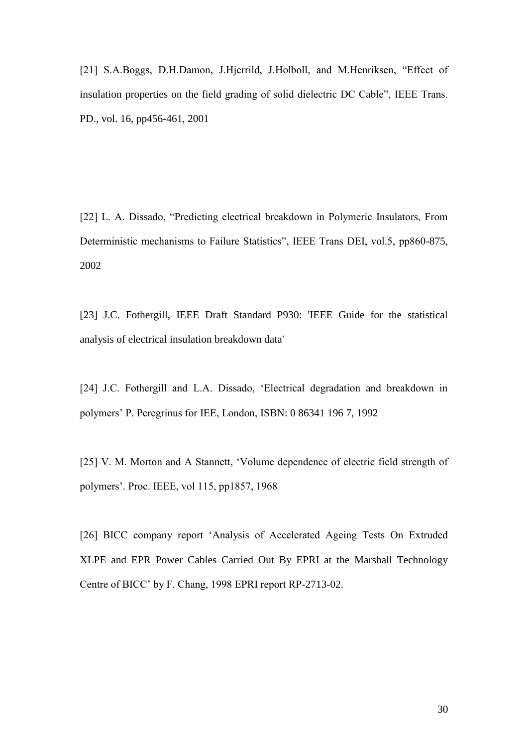[21] S.A.Boggs, D.H.Damon, J.Hjerrild, J.Holboll, and M.Henriksen, "Effect of insulation properties on the field grading of solid dielectric DC Cable", IEEE Trans. PD., vol. 16, pp456-461, 2001

[22] L. A. Dissado, "Predicting electrical breakdown in Polymeric Insulators, From Deterministic mechanisms to Failure Statistics", IEEE Trans DEI, vol.5, pp860-875, 2002

[23] J.C. Fothergill, IEEE Draft Standard P930: 'IEEE Guide for the statistical analysis of electrical insulation breakdown data'

[24] J.C. Fothergill and L.A. Dissado, 'Electrical degradation and breakdown in polymers" P. Peregrinus for IEE, London, ISBN: 0 86341 196 7, 1992

[25] V. M. Morton and A Stannett, 'Volume dependence of electric field strength of polymers". Proc. IEEE, vol 115, pp1857, 1968

[26] BICC company report "Analysis of Accelerated Ageing Tests On Extruded XLPE and EPR Power Cables Carried Out By EPRI at the Marshall Technology Centre of BICC" by F. Chang, 1998 EPRI report RP-2713-02.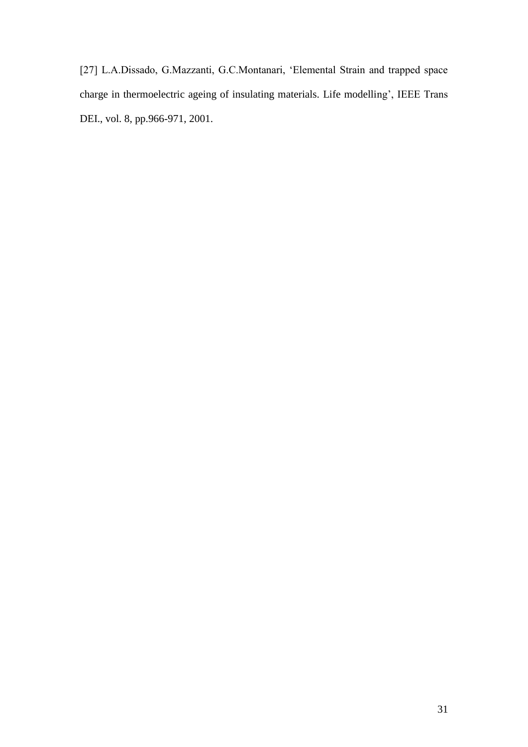[27] L.A.Dissado, G.Mazzanti, G.C.Montanari, "Elemental Strain and trapped space charge in thermoelectric ageing of insulating materials. Life modelling", IEEE Trans DEI., vol. 8, pp.966-971, 2001.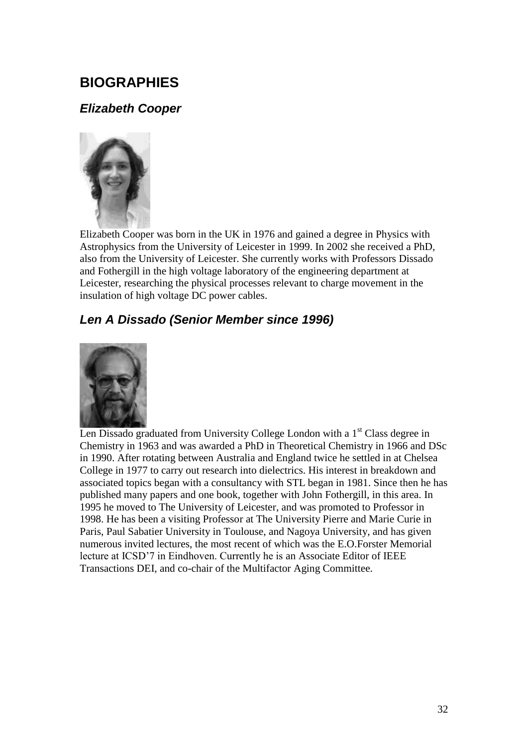# **BIOGRAPHIES**

## *Elizabeth Cooper*



Elizabeth Cooper was born in the UK in 1976 and gained a degree in Physics with Astrophysics from the University of Leicester in 1999. In 2002 she received a PhD, also from the University of Leicester. She currently works with Professors Dissado and Fothergill in the high voltage laboratory of the engineering department at Leicester, researching the physical processes relevant to charge movement in the insulation of high voltage DC power cables.

# *Len A Dissado (Senior Member since 1996)*



Len Dissado graduated from University College London with a  $1<sup>st</sup>$  Class degree in Chemistry in 1963 and was awarded a PhD in Theoretical Chemistry in 1966 and DSc in 1990. After rotating between Australia and England twice he settled in at Chelsea College in 1977 to carry out research into dielectrics. His interest in breakdown and associated topics began with a consultancy with STL began in 1981. Since then he has published many papers and one book, together with John Fothergill, in this area. In 1995 he moved to The University of Leicester, and was promoted to Professor in 1998. He has been a visiting Professor at The University Pierre and Marie Curie in Paris, Paul Sabatier University in Toulouse, and Nagoya University, and has given numerous invited lectures, the most recent of which was the E.O.Forster Memorial lecture at ICSD"7 in Eindhoven. Currently he is an Associate Editor of IEEE Transactions DEI, and co-chair of the Multifactor Aging Committee.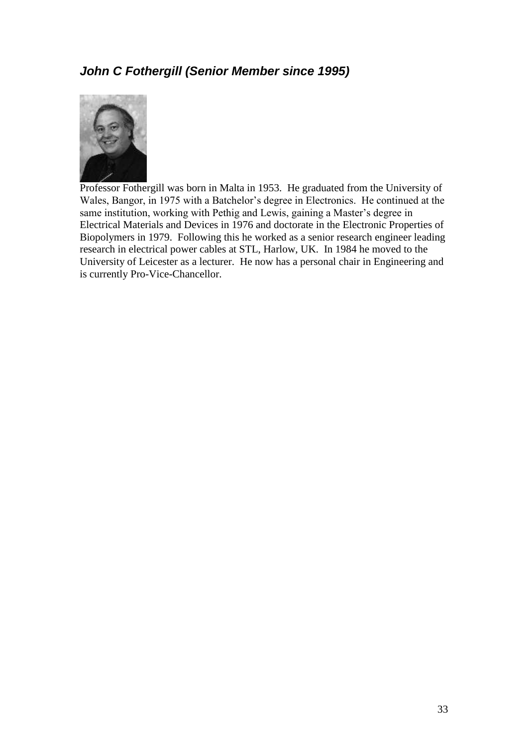# *John C Fothergill (Senior Member since 1995)*



Professor Fothergill was born in Malta in 1953. He graduated from the University of Wales, Bangor, in 1975 with a Batchelor"s degree in Electronics. He continued at the same institution, working with Pethig and Lewis, gaining a Master's degree in Electrical Materials and Devices in 1976 and doctorate in the Electronic Properties of Biopolymers in 1979. Following this he worked as a senior research engineer leading research in electrical power cables at STL, Harlow, UK. In 1984 he moved to the University of Leicester as a lecturer. He now has a personal chair in Engineering and is currently Pro-Vice-Chancellor.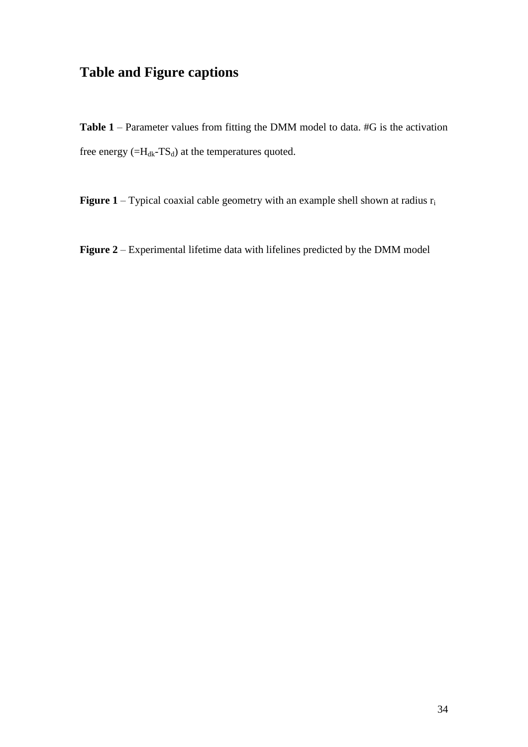# **Table and Figure captions**

**Table 1** – Parameter values from fitting the DMM model to data. #G is the activation free energy  $(=H_{dk}-TS_d)$  at the temperatures quoted.

**Figure 1** – Typical coaxial cable geometry with an example shell shown at radius  $r_i$ 

**Figure 2** – Experimental lifetime data with lifelines predicted by the DMM model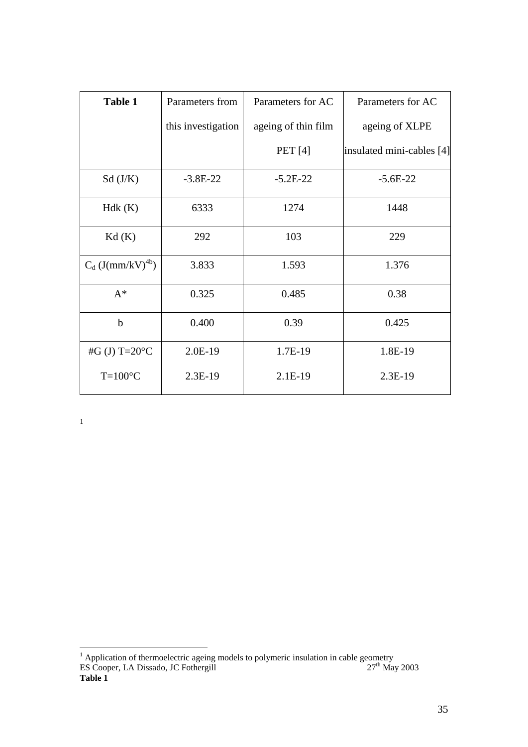| <b>Table 1</b>                  | Parameters from    | Parameters for AC   | Parameters for AC         |
|---------------------------------|--------------------|---------------------|---------------------------|
|                                 | this investigation | ageing of thin film | ageing of XLPE            |
|                                 |                    | <b>PET</b> [4]      | insulated mini-cables [4] |
| Sd(J/K)                         | $-3.8E-22$         | $-5.2E-22$          | $-5.6E-22$                |
| Hdk(K)                          | 6333               | 1274                | 1448                      |
| Kd(K)                           | 292                | 103                 | 229                       |
| $C_d$ (J(mm/kV) <sup>4b</sup> ) | 3.833              | 1.593               | 1.376                     |
| $A^*$                           | 0.325              | 0.485               | 0.38                      |
| $\mathbf b$                     | 0.400              | 0.39                | 0.425                     |
| #G (J) T= $20^{\circ}$ C        | 2.0E-19            | 1.7E-19             | 1.8E-19                   |
| $T=100^{\circ}C$                | $2.3E-19$          | 2.1E-19             | $2.3E-19$                 |

1

<u>.</u>

 $<sup>1</sup>$  Application of thermoelectric ageing models to polymeric insulation in cable geometry</sup> ES Cooper, LA Dissado, JC Fothergill  $27<sup>th</sup>$  May 2003 **Table 1**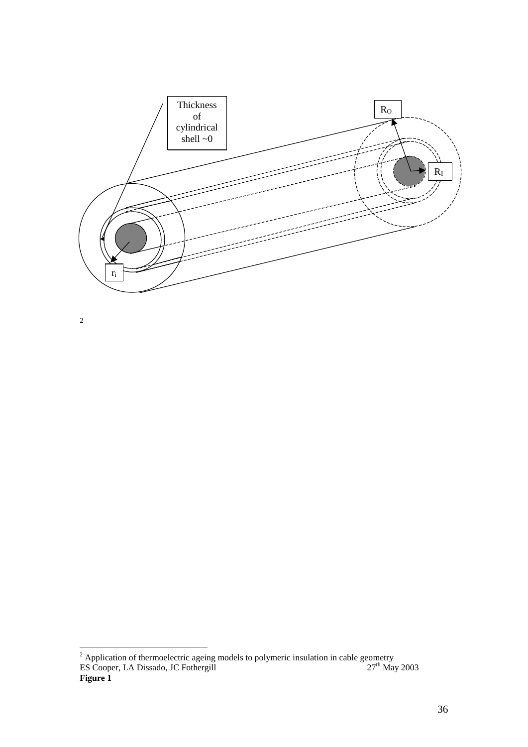

2

<u>.</u>

 $2$  Application of thermoelectric ageing models to polymeric insulation in cable geometry ES Cooper, LA Dissado, JC Fothergill  $27<sup>th</sup>$  May 2003 **Figure 1**